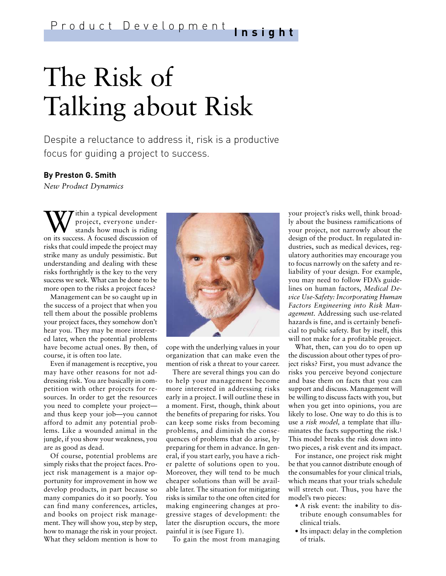# The Risk of Talking about Risk

Despite a reluctance to address it, risk is a productive focus for guiding a project to success.

### **By Preston G. Smith**

*New Product Dynamics*

**W** ithin a typical development<br>project, everyone under-<br>stands how much is riding<br>on its success. A focused discussion of  $\tau$ ithin a typical development project, everyone understands how much is riding risks that could impede the project may strike many as unduly pessimistic. But understanding and dealing with these risks forthrightly is the key to the very success we seek. What can be done to be more open to the risks a project faces?

Management can be so caught up in the success of a project that when you tell them about the possible problems your project faces, they somehow don't hear you. They may be more interested later, when the potential problems have become actual ones. By then, of course, it is often too late.

Even if management is receptive, you may have other reasons for not addressing risk. You are basically in competition with other projects for resources. In order to get the resources you need to complete your project and thus keep your job—you cannot afford to admit any potential problems. Like a wounded animal in the jungle, if you show your weakness, you are as good as dead.

Of course, potential problems are simply risks that the project faces. Project risk management is a major opportunity for improvement in how we develop products, in part because so many companies do it so poorly. You can find many conferences, articles, and books on project risk management. They will show you, step by step, how to manage the risk in your project. What they seldom mention is how to



cope with the underlying values in your organization that can make even the mention of risk a threat to your career.

There are several things you can do to help your management become more interested in addressing risks early in a project. I will outline these in a moment. First, though, think about the benefits of preparing for risks. You can keep some risks from becoming problems, and diminish the consequences of problems that do arise, by preparing for them in advance. In general, if you start early, you have a richer palette of solutions open to you. Moreover, they will tend to be much cheaper solutions than will be available later. The situation for mitigating risks is similar to the one often cited for making engineering changes at progressive stages of development: the later the disruption occurs, the more painful it is (see Figure 1).

To gain the most from managing

your project's risks well, think broadly about the business ramifications of your project, not narrowly about the design of the product. In regulated industries, such as medical devices, regulatory authorities may encourage you to focus narrowly on the safety and reliability of your design. For example, you may need to follow FDA's guidelines on human factors, *Medical Device Use-Safety: Incorporating Human Factors Engineering into Risk Management.* Addressing such use-related hazards is fine, and is certainly beneficial to public safety. But by itself, this will not make for a profitable project.

What, then, can you do to open up the discussion about other types of project risks? First, you must advance the risks you perceive beyond conjecture and base them on facts that you can support and discuss. Management will be willing to discuss facts with you, but when you get into opinions, you are likely to lose. One way to do this is to use a *risk model,* a template that illuminates the facts supporting the risk.<sup>1</sup> This model breaks the risk down into two pieces, a risk event and its impact.

For instance, one project risk might be that you cannot distribute enough of the consumables for your clinical trials, which means that your trials schedule will stretch out. Thus, you have the model's two pieces:

- A risk event: the inability to distribute enough consumables for clinical trials.
- Its impact: delay in the completion of trials.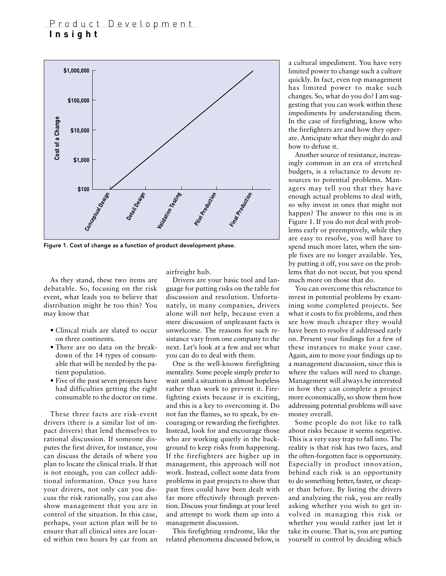## Product Development **Insight**



Figure 1. Cost of change as a function of product development phase.

As they stand, these two items are debatable. So, focusing on the risk event, what leads you to believe that distribution might be too thin? You may know that

- Clinical trials are slated to occur on three continents.
- There are no data on the breakdown of the 14 types of consumable that will be needed by the patient population.
- Five of the past seven projects have had difficulties getting the right consumable to the doctor on time.

These three facts are risk-event drivers (there is a similar list of impact drivers) that lend themselves to rational discussion. If someone disputes the first driver, for instance, you can discuss the details of where you plan to locate the clinical trials. If that is not enough, you can collect additional information. Once you have your drivers, not only can you discuss the risk rationally, you can also show management that you are in control of the situation. In this case, perhaps, your action plan will be to ensure that all clinical sites are located within two hours by car from an

airfreight hub.

Drivers are your basic tool and language for putting risks on the table for discussion and resolution. Unfortunately, in many companies, drivers alone will not help, because even a mere discussion of unpleasant facts is unwelcome. The reasons for such resistance vary from one company to the next. Let's look at a few and see what you can do to deal with them.

One is the well-known firefighting mentality. Some people simply prefer to wait until a situation is almost hopeless rather than work to prevent it. Firefighting exists because it is exciting, and this is a key to overcoming it. Do not fan the flames, so to speak, by encouraging or rewarding the firefighter. Instead, look for and encourage those who are working quietly in the background to keep risks from happening. If the firefighters are higher up in management, this approach will not work. Instead, collect some data from problems in past projects to show that past fires could have been dealt with far more effectively through prevention. Discuss your findings at your level and attempt to work them up into a management discussion.

This firefighting syndrome, like the related phenomena discussed below, is

a cultural impediment. You have very limited power to change such a culture quickly. In fact, even top management has limited power to make such changes. So, what do you do? I am suggesting that you can work within these impediments by understanding them. In the case of firefighting, know who the firefighters are and how they operate. Anticipate what they might do and how to defuse it.

Another source of resistance, increasingly common in an era of stretched budgets, is a reluctance to devote resources to potential problems. Managers may tell you that they have enough actual problems to deal with, so why invest in ones that might not happen? The answer to this one is in Figure 1. If you do not deal with problems early or preemptively, while they are easy to resolve, you will have to spend much more later, when the simple fixes are no longer available. Yes, by putting it off, you save on the problems that do not occur, but you spend much more on those that do.

You can overcome this reluctance to invest in potential problems by examining some completed projects. See what it costs to fix problems, and then see how much cheaper they would have been to resolve if addressed early on. Present your findings for a few of these instances to make your case. Again, aim to move your findings up to a management discussion, since this is where the values will need to change. Management will always be interested in how they can complete a project more economically, so show them how addressing potential problems will save money overall.

Some people do not like to talk about risks because it seems negative. This is a very easy trap to fall into. The reality is that risk has two faces, and the often-forgotten face is opportunity. Especially in product innovation, behind each risk is an opportunity to do something better, faster, or cheaper than before. By listing the drivers and analyzing the risk, you are really asking whether you wish to get involved in managing this risk or whether you would rather just let it take its course. That is, you are putting yourself in control by deciding which